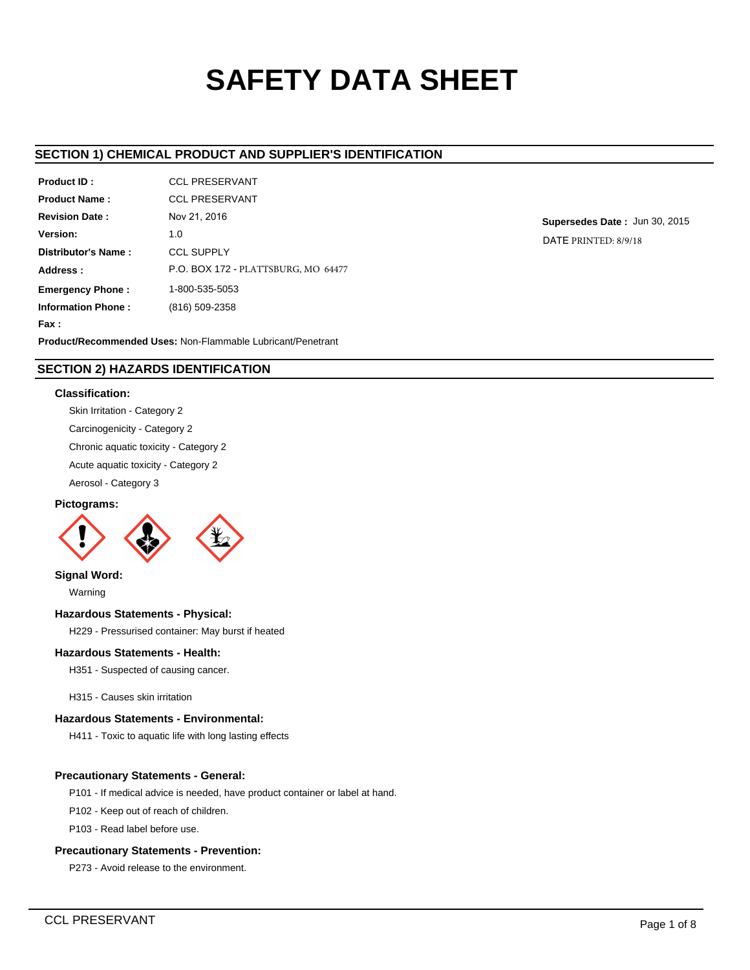# **SAFETY DATA SHEET**

# **SECTION 1) CHEMICAL PRODUCT AND SUPPLIER'S IDENTIFICATION**

| Product ID:               | <b>CCL PRESERVANT</b>                      |
|---------------------------|--------------------------------------------|
| <b>Product Name:</b>      | <b>CCL PRESERVANT</b>                      |
| <b>Revision Date:</b>     | Nov 21, 2016                               |
| Version:                  | 1.0                                        |
| Distributor's Name:       | <b>CCL SUPPLY</b>                          |
| Address:                  | <b>P.O. BOX 172 - PLATTSBURG, MO 64477</b> |
| <b>Emergency Phone:</b>   | 1-800-535-5053                             |
| <b>Information Phone:</b> | (816) 509-2358                             |
| Fax:                      |                                            |

**Supersedes Date :** Jun 30, 2015 DATE PRINTED: 8/9/18

**Product/Recommended Uses:** Non-Flammable Lubricant/Penetrant

# **SECTION 2) HAZARDS IDENTIFICATION**

# **Classification:**

Skin Irritation - Category 2

Carcinogenicity - Category 2

Chronic aquatic toxicity - Category 2

Acute aquatic toxicity - Category 2

Aerosol - Category 3

# **Pictograms:**



**Signal Word:**

Warning

# **Hazardous Statements - Physical:**

H229 - Pressurised container: May burst if heated

# **Hazardous Statements - Health:**

H351 - Suspected of causing cancer.

H315 - Causes skin irritation

# **Hazardous Statements - Environmental:**

H411 - Toxic to aquatic life with long lasting effects

# **Precautionary Statements - General:**

P101 - If medical advice is needed, have product container or label at hand.

P102 - Keep out of reach of children.

P103 - Read label before use.

## **Precautionary Statements - Prevention:**

P273 - Avoid release to the environment.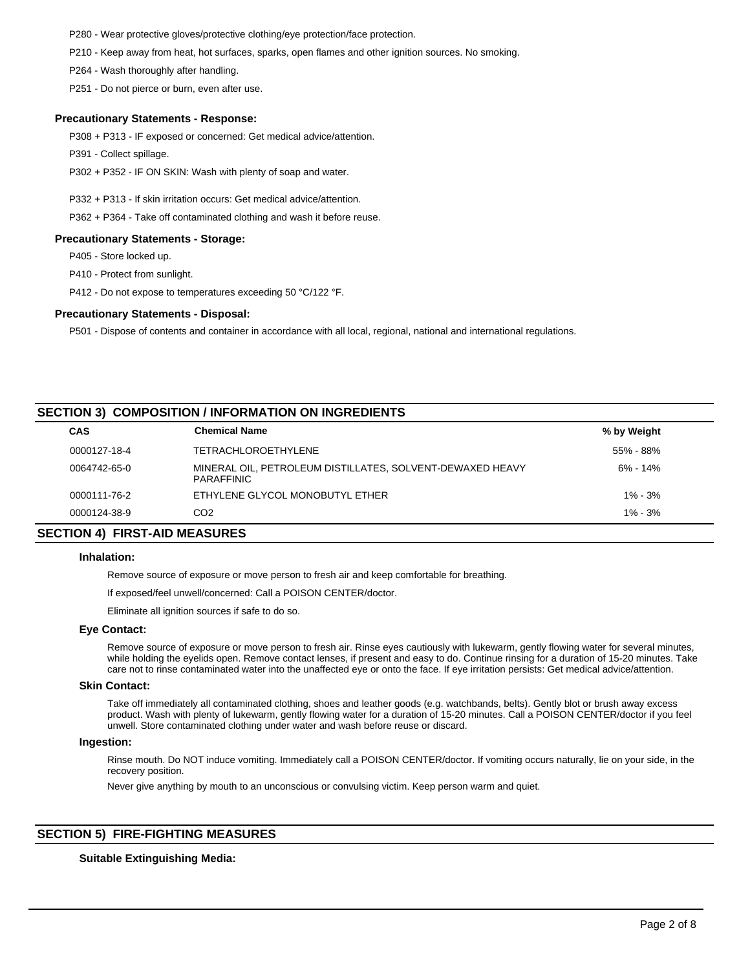P280 - Wear protective gloves/protective clothing/eye protection/face protection.

P210 - Keep away from heat, hot surfaces, sparks, open flames and other ignition sources. No smoking.

P264 - Wash thoroughly after handling.

P251 - Do not pierce or burn, even after use.

## **Precautionary Statements - Response:**

P308 + P313 - IF exposed or concerned: Get medical advice/attention.

P391 - Collect spillage.

P302 + P352 - IF ON SKIN: Wash with plenty of soap and water.

P332 + P313 - If skin irritation occurs: Get medical advice/attention.

P362 + P364 - Take off contaminated clothing and wash it before reuse.

### **Precautionary Statements - Storage:**

P405 - Store locked up.

P410 - Protect from sunlight.

P412 - Do not expose to temperatures exceeding 50 °C/122 °F.

## **Precautionary Statements - Disposal:**

P501 - Dispose of contents and container in accordance with all local, regional, national and international regulations.

# **SECTION 3) COMPOSITION / INFORMATION ON INGREDIENTS**

| <b>CAS</b>   | <b>Chemical Name</b>                                                           | % by Weight  |  |
|--------------|--------------------------------------------------------------------------------|--------------|--|
| 0000127-18-4 | <b>TETRACHLOROETHYLENE</b>                                                     | 55% - 88%    |  |
| 0064742-65-0 | MINERAL OIL, PETROLEUM DISTILLATES, SOLVENT-DEWAXED HEAVY<br><b>PARAFFINIC</b> | $6\% - 14\%$ |  |
| 0000111-76-2 | ETHYLENE GLYCOL MONOBUTYL ETHER                                                | $1\% - 3\%$  |  |
| 0000124-38-9 | CO2                                                                            | $1\% - 3\%$  |  |
|              |                                                                                |              |  |

# **SECTION 4) FIRST-AID MEASURES**

## **Inhalation:**

Remove source of exposure or move person to fresh air and keep comfortable for breathing.

If exposed/feel unwell/concerned: Call a POISON CENTER/doctor.

Eliminate all ignition sources if safe to do so.

#### **Eye Contact:**

Remove source of exposure or move person to fresh air. Rinse eyes cautiously with lukewarm, gently flowing water for several minutes, while holding the eyelids open. Remove contact lenses, if present and easy to do. Continue rinsing for a duration of 15-20 minutes. Take care not to rinse contaminated water into the unaffected eye or onto the face. If eye irritation persists: Get medical advice/attention.

## **Skin Contact:**

Take off immediately all contaminated clothing, shoes and leather goods (e.g. watchbands, belts). Gently blot or brush away excess product. Wash with plenty of lukewarm, gently flowing water for a duration of 15-20 minutes. Call a POISON CENTER/doctor if you feel unwell. Store contaminated clothing under water and wash before reuse or discard.

#### **Ingestion:**

Rinse mouth. Do NOT induce vomiting. Immediately call a POISON CENTER/doctor. If vomiting occurs naturally, lie on your side, in the recovery position.

Never give anything by mouth to an unconscious or convulsing victim. Keep person warm and quiet.

# **SECTION 5) FIRE-FIGHTING MEASURES**

# **Suitable Extinguishing Media:**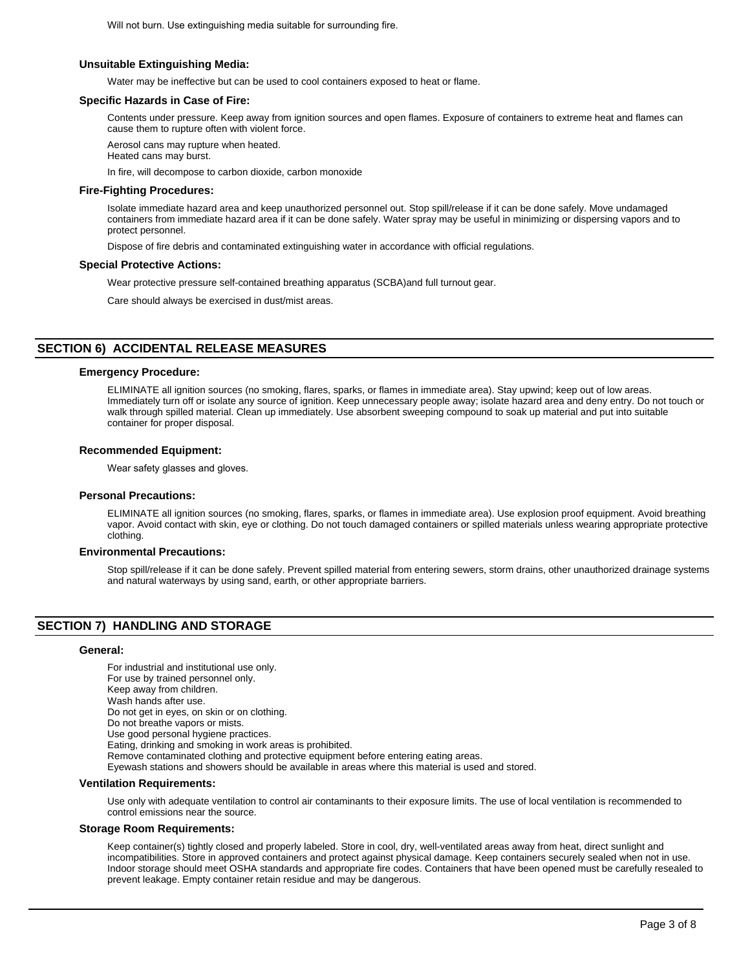Will not burn. Use extinguishing media suitable for surrounding fire.

# **Unsuitable Extinguishing Media:**

Water may be ineffective but can be used to cool containers exposed to heat or flame.

### **Specific Hazards in Case of Fire:**

Contents under pressure. Keep away from ignition sources and open flames. Exposure of containers to extreme heat and flames can cause them to rupture often with violent force.

Aerosol cans may rupture when heated. Heated cans may burst.

In fire, will decompose to carbon dioxide, carbon monoxide

### **Fire-Fighting Procedures:**

Isolate immediate hazard area and keep unauthorized personnel out. Stop spill/release if it can be done safely. Move undamaged containers from immediate hazard area if it can be done safely. Water spray may be useful in minimizing or dispersing vapors and to protect personnel.

Dispose of fire debris and contaminated extinguishing water in accordance with official regulations.

#### **Special Protective Actions:**

Wear protective pressure self-contained breathing apparatus (SCBA)and full turnout gear.

Care should always be exercised in dust/mist areas.

# **SECTION 6) ACCIDENTAL RELEASE MEASURES**

#### **Emergency Procedure:**

ELIMINATE all ignition sources (no smoking, flares, sparks, or flames in immediate area). Stay upwind; keep out of low areas. Immediately turn off or isolate any source of ignition. Keep unnecessary people away; isolate hazard area and deny entry. Do not touch or walk through spilled material. Clean up immediately. Use absorbent sweeping compound to soak up material and put into suitable container for proper disposal.

# **Recommended Equipment:**

Wear safety glasses and gloves.

#### **Personal Precautions:**

ELIMINATE all ignition sources (no smoking, flares, sparks, or flames in immediate area). Use explosion proof equipment. Avoid breathing vapor. Avoid contact with skin, eye or clothing. Do not touch damaged containers or spilled materials unless wearing appropriate protective clothing.

#### **Environmental Precautions:**

Stop spill/release if it can be done safely. Prevent spilled material from entering sewers, storm drains, other unauthorized drainage systems and natural waterways by using sand, earth, or other appropriate barriers.

# **SECTION 7) HANDLING AND STORAGE**

#### **General:**

For industrial and institutional use only. For use by trained personnel only. Keep away from children. Wash hands after use. Do not get in eyes, on skin or on clothing. Do not breathe vapors or mists. Use good personal hygiene practices. Eating, drinking and smoking in work areas is prohibited. Remove contaminated clothing and protective equipment before entering eating areas. Eyewash stations and showers should be available in areas where this material is used and stored.

## **Ventilation Requirements:**

Use only with adequate ventilation to control air contaminants to their exposure limits. The use of local ventilation is recommended to control emissions near the source.

#### **Storage Room Requirements:**

Keep container(s) tightly closed and properly labeled. Store in cool, dry, well-ventilated areas away from heat, direct sunlight and incompatibilities. Store in approved containers and protect against physical damage. Keep containers securely sealed when not in use. Indoor storage should meet OSHA standards and appropriate fire codes. Containers that have been opened must be carefully resealed to prevent leakage. Empty container retain residue and may be dangerous.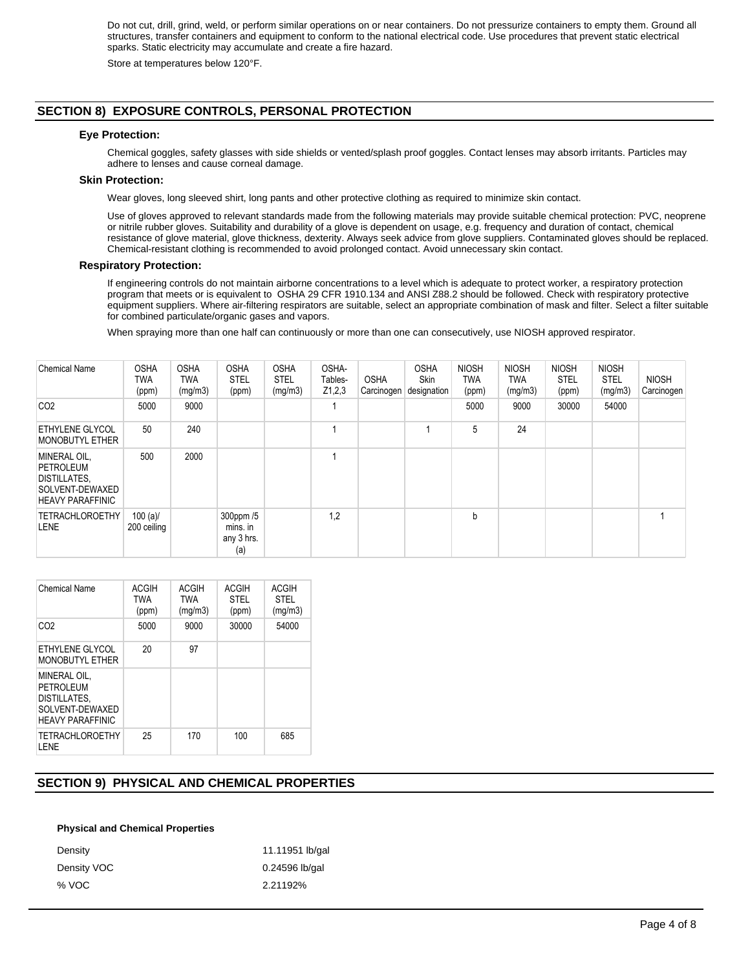Do not cut, drill, grind, weld, or perform similar operations on or near containers. Do not pressurize containers to empty them. Ground all structures, transfer containers and equipment to conform to the national electrical code. Use procedures that prevent static electrical sparks. Static electricity may accumulate and create a fire hazard.

Store at temperatures below 120°F.

# **SECTION 8) EXPOSURE CONTROLS, PERSONAL PROTECTION**

## **Eye Protection:**

Chemical goggles, safety glasses with side shields or vented/splash proof goggles. Contact lenses may absorb irritants. Particles may adhere to lenses and cause corneal damage.

## **Skin Protection:**

Wear gloves, long sleeved shirt, long pants and other protective clothing as required to minimize skin contact.

Use of gloves approved to relevant standards made from the following materials may provide suitable chemical protection: PVC, neoprene or nitrile rubber gloves. Suitability and durability of a glove is dependent on usage, e.g. frequency and duration of contact, chemical resistance of glove material, glove thickness, dexterity. Always seek advice from glove suppliers. Contaminated gloves should be replaced. Chemical-resistant clothing is recommended to avoid prolonged contact. Avoid unnecessary skin contact.

### **Respiratory Protection:**

If engineering controls do not maintain airborne concentrations to a level which is adequate to protect worker, a respiratory protection program that meets or is equivalent to OSHA 29 CFR 1910.134 and ANSI Z88.2 should be followed. Check with respiratory protective equipment suppliers. Where air-filtering respirators are suitable, select an appropriate combination of mask and filter. Select a filter suitable for combined particulate/organic gases and vapors.

When spraying more than one half can continuously or more than one can consecutively, use NIOSH approved respirator.

| <b>Chemical Name</b>                                                                                  | <b>OSHA</b><br><b>TWA</b><br>(ppm) | <b>OSHA</b><br>TWA<br>(mg/m3) | <b>OSHA</b><br><b>STEL</b><br>(ppm)        | <b>OSHA</b><br><b>STEL</b><br>(mg/m3) | OSHA-<br>Tables-<br>Z1,2,3 | <b>OSHA</b><br>Carcinogen | <b>OSHA</b><br><b>Skin</b><br>designation | <b>NIOSH</b><br><b>TWA</b><br>(ppm) | <b>NIOSH</b><br><b>TWA</b><br>(mg/m3) | <b>NIOSH</b><br><b>STEL</b><br>(ppm) | <b>NIOSH</b><br><b>STEL</b><br>(mg/m3) | <b>NIOSH</b><br>Carcinogen |
|-------------------------------------------------------------------------------------------------------|------------------------------------|-------------------------------|--------------------------------------------|---------------------------------------|----------------------------|---------------------------|-------------------------------------------|-------------------------------------|---------------------------------------|--------------------------------------|----------------------------------------|----------------------------|
| CO <sub>2</sub>                                                                                       | 5000                               | 9000                          |                                            |                                       |                            |                           |                                           | 5000                                | 9000                                  | 30000                                | 54000                                  |                            |
| <b>ETHYLENE GLYCOL</b><br><b>MONOBUTYL ETHER</b>                                                      | 50                                 | 240                           |                                            |                                       |                            |                           |                                           | 5                                   | 24                                    |                                      |                                        |                            |
| MINERAL OIL,<br><b>PETROLEUM</b><br><b>DISTILLATES,</b><br>SOLVENT-DEWAXED<br><b>HEAVY PARAFFINIC</b> | 500                                | 2000                          |                                            |                                       |                            |                           |                                           |                                     |                                       |                                      |                                        |                            |
| <b>TETRACHLOROETHY</b><br><b>LENE</b>                                                                 | $100 (a)$ /<br>200 ceiling         |                               | 300ppm /5<br>mins. in<br>any 3 hrs.<br>(a) |                                       | 1,2                        |                           |                                           | b                                   |                                       |                                      |                                        |                            |

| <b>Chemical Name</b>                                                                     | ACGIH<br><b>TWA</b><br>(ppm) | ACGIH<br><b>TWA</b><br>(mg/m3) | ACGIH<br><b>STEL</b><br>(ppm) | <b>ACGIH</b><br><b>STEL</b><br>(mg/m3) |
|------------------------------------------------------------------------------------------|------------------------------|--------------------------------|-------------------------------|----------------------------------------|
| CO <sub>2</sub>                                                                          | 5000                         | 9000                           | 30000                         | 54000                                  |
| ETHYLENE GLYCOL<br><b>MONOBUTYL ETHER</b>                                                | 20                           | 97                             |                               |                                        |
| MINERAL OIL.<br>PFTROI FUM<br>DISTILLATES,<br>SOLVENT-DEWAXED<br><b>HEAVY PARAFFINIC</b> |                              |                                |                               |                                        |
| <b>TETRACHLOROETHY</b><br><b>I.ENE</b>                                                   | 25                           | 170                            | 100                           | 685                                    |

# **SECTION 9) PHYSICAL AND CHEMICAL PROPERTIES**

#### **Physical and Chemical Properties**

| Density     | 11.11951 lb/gal |
|-------------|-----------------|
| Density VOC | 0.24596 lb/gal  |
| % VOC       | 2.21192%        |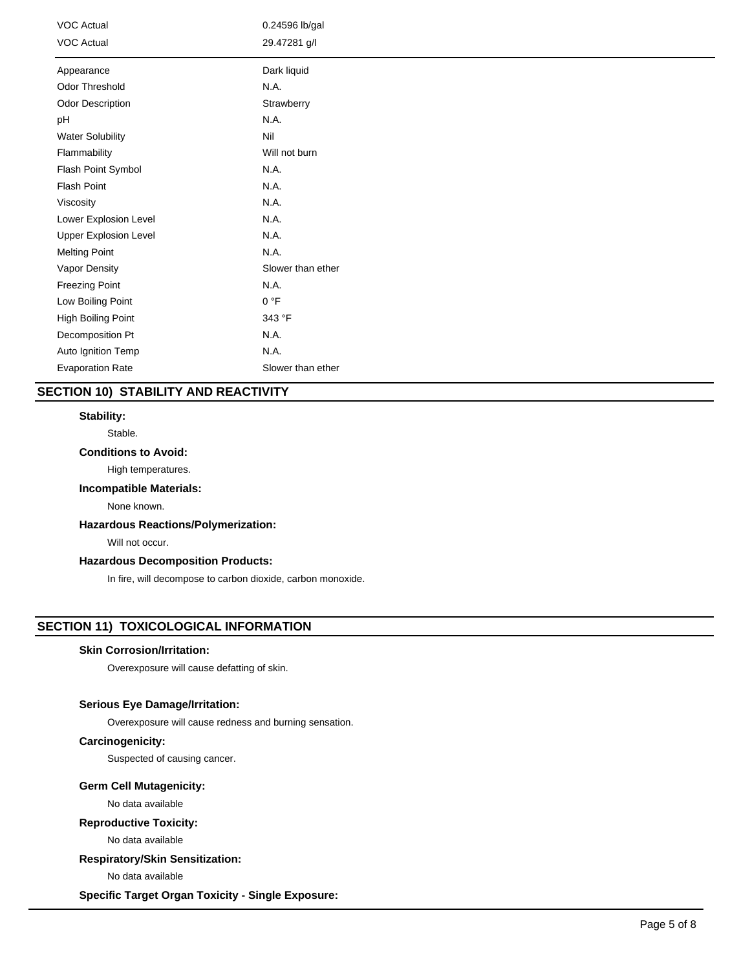| VOC Actual<br><b>VOC Actual</b> | 0.24596 lb/gal<br>29.47281 g/l |
|---------------------------------|--------------------------------|
| Appearance                      | Dark liquid                    |
| Odor Threshold                  | N.A.                           |
| <b>Odor Description</b>         | Strawberry                     |
| pH                              | N.A.                           |
| <b>Water Solubility</b>         | Nil                            |
| Flammability                    | Will not burn                  |
| Flash Point Symbol              | N.A.                           |
| Flash Point                     | N.A.                           |
| Viscosity                       | N.A.                           |
| Lower Explosion Level           | N.A.                           |
| <b>Upper Explosion Level</b>    | N.A.                           |
| <b>Melting Point</b>            | N.A.                           |
| Vapor Density                   | Slower than ether              |
| Freezing Point                  | N.A.                           |
| Low Boiling Point               | 0 °F                           |
| High Boiling Point              | 343 °F                         |
| Decomposition Pt                | N.A.                           |
| Auto Ignition Temp              | N.A.                           |
| <b>Evaporation Rate</b>         | Slower than ether              |

# **SECTION 10) STABILITY AND REACTIVITY**

## **Stability:**

Stable.

# **Conditions to Avoid:**

High temperatures.

# **Incompatible Materials:**

None known.

# **Hazardous Reactions/Polymerization:**

Will not occur.

# **Hazardous Decomposition Products:**

In fire, will decompose to carbon dioxide, carbon monoxide.

# **SECTION 11) TOXICOLOGICAL INFORMATION**

# **Skin Corrosion/Irritation:**

Overexposure will cause defatting of skin.

# **Serious Eye Damage/Irritation:**

Overexposure will cause redness and burning sensation.

# **Carcinogenicity:**

Suspected of causing cancer.

# **Germ Cell Mutagenicity:**

No data available

# **Reproductive Toxicity:**

No data available

# **Respiratory/Skin Sensitization:**

No data available

**Specific Target Organ Toxicity - Single Exposure:**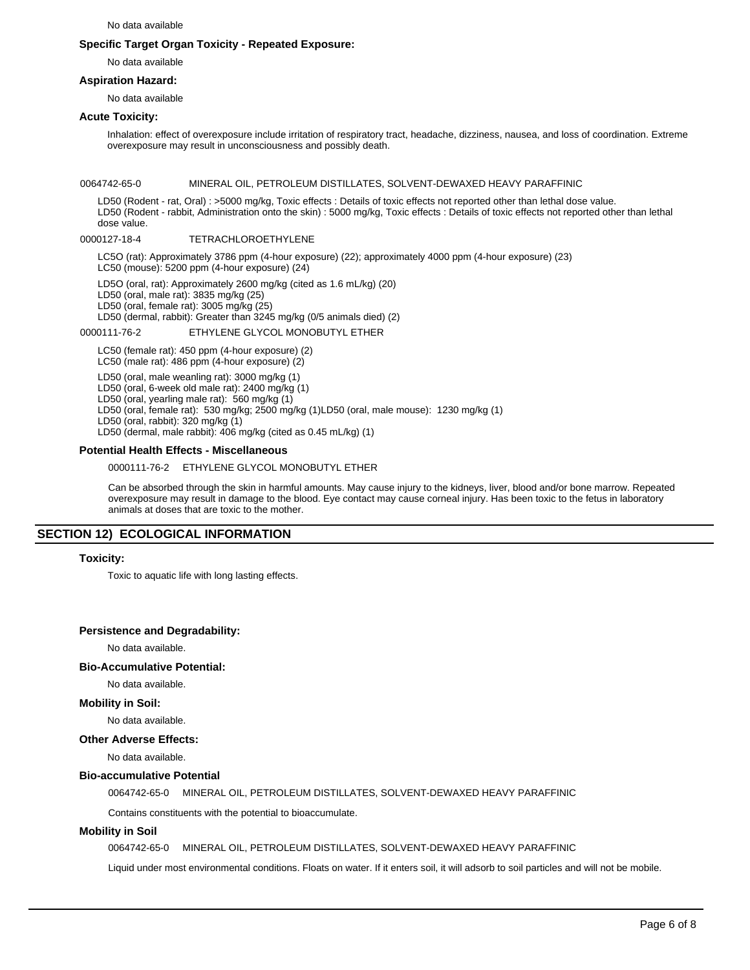No data available

## **Specific Target Organ Toxicity - Repeated Exposure:**

No data available

## **Aspiration Hazard:**

No data available

# **Acute Toxicity:**

Inhalation: effect of overexposure include irritation of respiratory tract, headache, dizziness, nausea, and loss of coordination. Extreme overexposure may result in unconsciousness and possibly death.

#### 0064742-65-0 MINERAL OIL, PETROLEUM DISTILLATES, SOLVENT-DEWAXED HEAVY PARAFFINIC

LD50 (Rodent - rat, Oral) : >5000 mg/kg, Toxic effects : Details of toxic effects not reported other than lethal dose value. LD50 (Rodent - rabbit, Administration onto the skin) : 5000 mg/kg, Toxic effects : Details of toxic effects not reported other than lethal dose value.

### 0000127-18-4 TETRACHLOROETHYLENE

LC5O (rat): Approximately 3786 ppm (4-hour exposure) (22); approximately 4000 ppm (4-hour exposure) (23) LC50 (mouse): 5200 ppm (4-hour exposure) (24)

LD5O (oral, rat): Approximately 2600 mg/kg (cited as 1.6 mL/kg) (20)

LD50 (oral, male rat): 3835 mg/kg (25)

LD50 (oral, female rat): 3005 mg/kg (25) LD50 (dermal, rabbit): Greater than 3245 mg/kg (0/5 animals died) (2)

0000111-76-2 ETHYLENE GLYCOL MONOBUTYL ETHER

LC50 (female rat): 450 ppm (4-hour exposure) (2)

LC50 (male rat): 486 ppm (4-hour exposure) (2)

LD50 (oral, male weanling rat): 3000 mg/kg (1)

LD50 (oral, 6-week old male rat): 2400 mg/kg (1)

LD50 (oral, yearling male rat): 560 mg/kg (1) LD50 (oral, female rat): 530 mg/kg; 2500 mg/kg (1)LD50 (oral, male mouse): 1230 mg/kg (1)

LD50 (oral, rabbit): 320 mg/kg (1)

LD50 (dermal, male rabbit): 406 mg/kg (cited as 0.45 mL/kg) (1)

# **Potential Health Effects - Miscellaneous**

### 0000111-76-2 ETHYLENE GLYCOL MONOBUTYL ETHER

Can be absorbed through the skin in harmful amounts. May cause injury to the kidneys, liver, blood and/or bone marrow. Repeated overexposure may result in damage to the blood. Eye contact may cause corneal injury. Has been toxic to the fetus in laboratory animals at doses that are toxic to the mother.

# **SECTION 12) ECOLOGICAL INFORMATION**

## **Toxicity:**

Toxic to aquatic life with long lasting effects.

## **Persistence and Degradability:**

No data available.

## **Bio-Accumulative Potential:**

## No data available.

## **Mobility in Soil:**

No data available.

# **Other Adverse Effects:**

No data available.

# **Bio-accumulative Potential**

0064742-65-0 MINERAL OIL, PETROLEUM DISTILLATES, SOLVENT-DEWAXED HEAVY PARAFFINIC

Contains constituents with the potential to bioaccumulate.

## **Mobility in Soil**

0064742-65-0 MINERAL OIL, PETROLEUM DISTILLATES, SOLVENT-DEWAXED HEAVY PARAFFINIC

Liquid under most environmental conditions. Floats on water. If it enters soil, it will adsorb to soil particles and will not be mobile.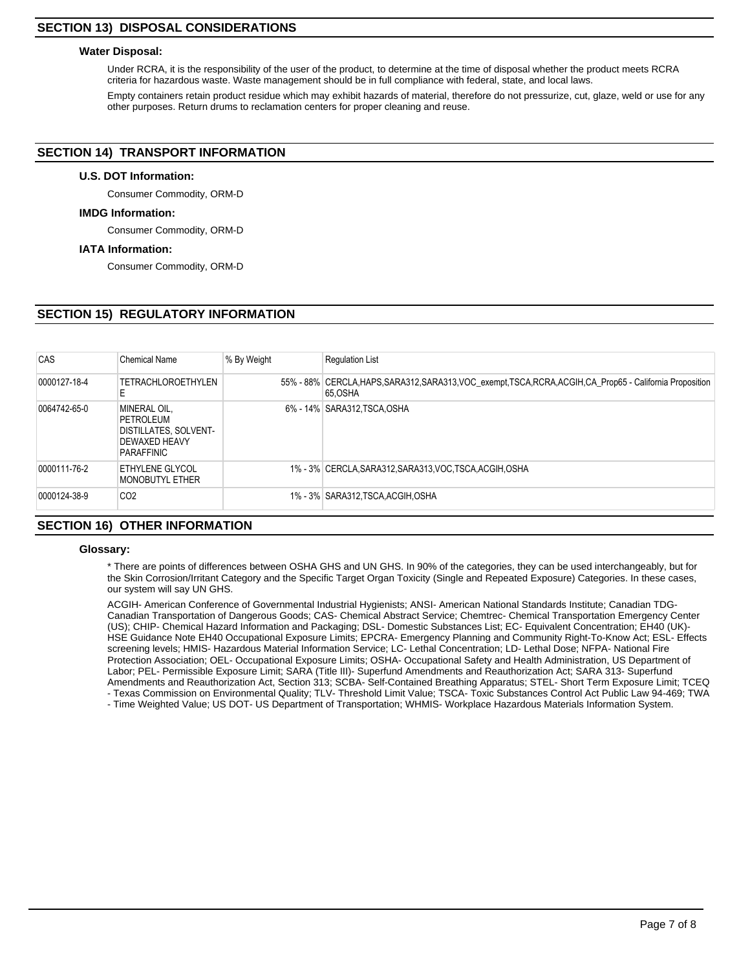# **SECTION 13) DISPOSAL CONSIDERATIONS**

## **Water Disposal:**

Under RCRA, it is the responsibility of the user of the product, to determine at the time of disposal whether the product meets RCRA criteria for hazardous waste. Waste management should be in full compliance with federal, state, and local laws.

Empty containers retain product residue which may exhibit hazards of material, therefore do not pressurize, cut, glaze, weld or use for any other purposes. Return drums to reclamation centers for proper cleaning and reuse.

# **SECTION 14) TRANSPORT INFORMATION**

## **U.S. DOT Information:**

Consumer Commodity, ORM-D

### **IMDG Information:**

Consumer Commodity, ORM-D

# **IATA Information:**

Consumer Commodity, ORM-D

# **SECTION 15) REGULATORY INFORMATION**

| CAS          | <b>Chemical Name</b>                                                                                   | % By Weight | <b>Requlation List</b>                                                                                                  |
|--------------|--------------------------------------------------------------------------------------------------------|-------------|-------------------------------------------------------------------------------------------------------------------------|
| 0000127-18-4 | <b>TETRACHLOROETHYLEN</b><br>E                                                                         |             | 55% - 88% CERCLA, HAPS, SARA312, SARA313, VOC_exempt, TSCA, RCRA, ACGIH, CA_Prop65 - California Proposition<br>65, OSHA |
| 0064742-65-0 | <b>MINERAL OIL.</b><br>PETROLEUM<br><b>DISTILLATES, SOLVENT-</b><br><b>DEWAXED HEAVY</b><br>PARAFFINIC |             | 6% - 14% SARA312, TSCA, OSHA                                                                                            |
| 0000111-76-2 | <b>ETHYLENE GLYCOL</b><br>MONOBUTYL ETHER                                                              |             | 1% - 3% CERCLA, SARA312, SARA313, VOC, TSCA, ACGIH, OSHA                                                                |
| 0000124-38-9 | CO <sub>2</sub>                                                                                        |             | 1% - 3% SARA312,TSCA,ACGIH,OSHA                                                                                         |

# **SECTION 16) OTHER INFORMATION**

## **Glossary:**

\* There are points of differences between OSHA GHS and UN GHS. In 90% of the categories, they can be used interchangeably, but for the Skin Corrosion/Irritant Category and the Specific Target Organ Toxicity (Single and Repeated Exposure) Categories. In these cases, our system will say UN GHS.

ACGIH- American Conference of Governmental Industrial Hygienists; ANSI- American National Standards Institute; Canadian TDG-Canadian Transportation of Dangerous Goods; CAS- Chemical Abstract Service; Chemtrec- Chemical Transportation Emergency Center (US); CHIP- Chemical Hazard Information and Packaging; DSL- Domestic Substances List; EC- Equivalent Concentration; EH40 (UK)- HSE Guidance Note EH40 Occupational Exposure Limits; EPCRA- Emergency Planning and Community Right-To-Know Act; ESL- Effects screening levels; HMIS- Hazardous Material Information Service; LC- Lethal Concentration; LD- Lethal Dose; NFPA- National Fire Protection Association; OEL- Occupational Exposure Limits; OSHA- Occupational Safety and Health Administration, US Department of Labor; PEL- Permissible Exposure Limit; SARA (Title III)- Superfund Amendments and Reauthorization Act; SARA 313- Superfund Amendments and Reauthorization Act, Section 313; SCBA- Self-Contained Breathing Apparatus; STEL- Short Term Exposure Limit; TCEQ - Texas Commission on Environmental Quality; TLV- Threshold Limit Value; TSCA- Toxic Substances Control Act Public Law 94-469; TWA

- Time Weighted Value; US DOT- US Department of Transportation; WHMIS- Workplace Hazardous Materials Information System.